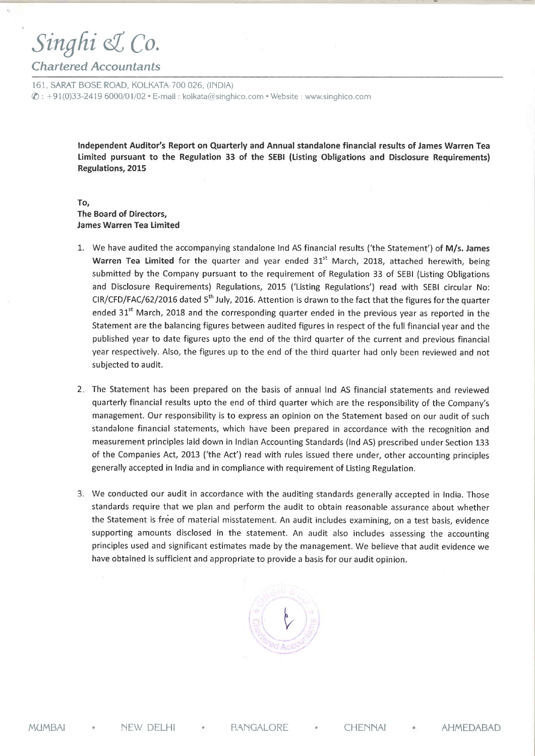## Singhi & Co.

## Chartered Accountants

161, SARAT BOSE ROAD, KOLKATA-700 026, (INDIA)  $\textcircled{2}: +91(0)33-2419\,6000/01/02 \cdot E\text{-mail}$ : kolkata@singhico.com . Website : www.singhico.com

> Independent Auditor's Report on Quarterly and Annual standalone financial results of James Warren Tea Limited pursuant to the Regulation 33 of the SEBI (Listing Obligations and Disclosure Requirements) Regulations, 2015

## To, The Board of Directors, **James Warren Tea Limited**

- 1. We have audited the accompanying standalone Ind AS financial results ('the Statement') of M/s. James Warren Tea Limited for the quarter and year ended  $31<sup>st</sup>$  March, 2018, attached herewith, being submitted by the Company pursuant to the requirement of Regulation 33 of SEBI (Listing Obligations and Disclosure Requirements) Regulations, 20L5 ('Listing Regulations') read with SEBI circular No: CIR/CFD/FAC/62/2016 dated  $5<sup>th</sup>$  July, 2016. Attention is drawn to the fact that the figures for the quarter ended 31<sup>st</sup> March, 2018 and the corresponding quarter ended in the previous year as reported in the Statement are the balancing figures between audited figures in respect of the full financial year and the published year to date figures upto the end of the third quarter of the current and previous financial year respectively. Also, the figures up to the end of the third quarter had only been reviewed and not subjected to audit.
- 2. The Statement has been prepared on the basis of annual Ind AS financial statements and reviewed quarterly financial results upto the end of third quarter which are the responsibility of the Company's management. Our responsibility is to express an opinion on the Statement based on our audit of such standalone financial statements, which have been prepared in accordance with the recognition and measurement principles laid down in Indian Accounting Standards (Ind AS) prescribed under Section 133 of the Companies Act, 2013 ('the Act') read with rules issued there under, other accounting principles generally accepted in India and in compliance with requirement of Listing Regulation.
- We conducted our audit in accordance with the auditing standards generally accepted in India. Those standards require that we plan and perform the audit to obtain reasonable assurance about whether the Statement is free of material misstatement. An audit includes examining, on a test basis, evidence supporting amounts disclosed in the statement. An audit also includes assessing the accounting principles used and significant estimates made by the management, We believe that audit evidence we have obtained is sufficient and appropriate to provide a basis for our audit opinion.

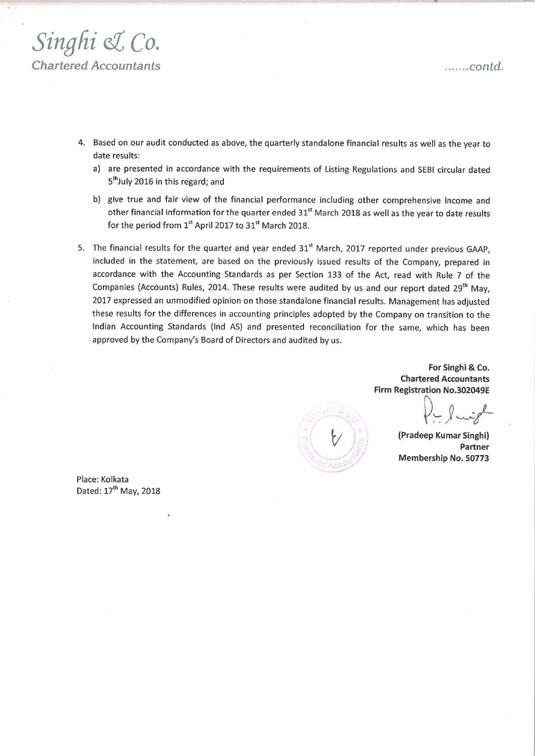

- 4. Based on our audit conducted as above, the quarterly standalone financial results as well as the year to date results:
	- a) are presented in accordance with the requirements of Listing Regulations and SEBI circular dated 5<sup>th</sup>July 2016 in this regard; and
	- b) give true and fair view of the financial performance including other comprehensive income and other financial information for the quarter ended 31<sup>st</sup> March 2018 as well as the year to date results for the period from  $1<sup>st</sup>$  April 2017 to 31<sup>st</sup> March 2018.
- 5. The financial results for the quarter and year ended 31" March, 2017 reported under previous GAAP, included in the statement, are based on the previously issued results of the Company, prepared in accordance with the Accounting Standards as per Section 133 of the Act, read with Rule 7 of the Companies (Accounts) Rules, 2014. These results were audited by us and our report dated 29<sup>th</sup> May, 2017 expressed an unmodified opinion on those standalone financial results. Management has adjusted these results for the differences in accounting principles adopted by the Company on transition to the Indian Accounting Standards (lnd AS) and presented reconciliation for the same, which has been approved by the Company's Board of Directors and audited by us.

For Singhi& Co. Chartered Accountants Firm Registration No.302049E

(Pradeep Kumar Singhi) Partner Membership No.50773

Place: Kolkata Dated: 17<sup>th</sup> May, 2018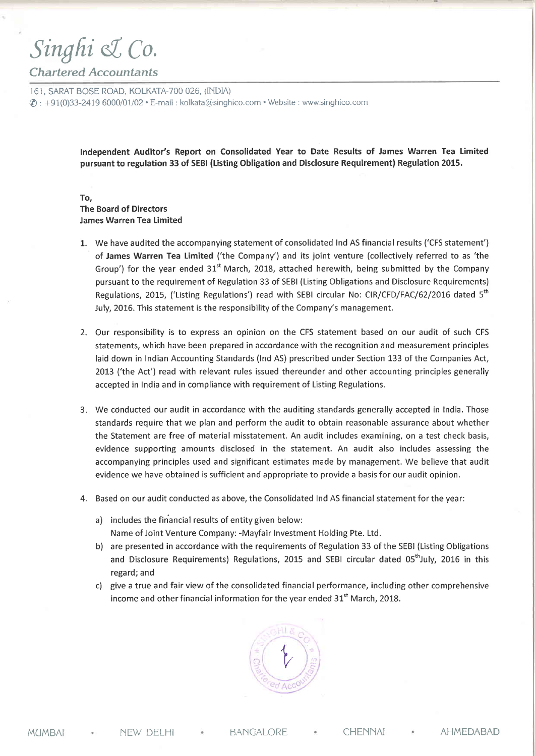## Singhi & Co.

## Chartered Accountants

161, SARAT BOSE ROAD, KOLKATA-7OO 026, (INDIA)  $\textcircled{c}: +91(0)33-2419\ 6000/01/02 \cdot E\text{-mail}:$  kolkata@singhico.com  $\cdot$  Website : www.singhico.com

> lndependent Auditor's Report on Consolidated Year to Date Results of James Warren Tea Limited pursuant to regulation 33 of SEBI (tisting Obligation and Disclosure Requirement) Regulation 2015.

## To, The Board of Directors James Warren Tea Limited

- L. We have audited the accompanying statement of consolidated Ind AS financial results ('CFS statement') of James Warren Tea Limited ('the Company') and its joint venture (collectively referred to as 'the Group') for the year ended  $31<sup>st</sup>$  March, 2018, attached herewith, being submitted by the Company pursuant to the requirement of Regulation 33 of SEBI (Listing Obligations and Disclosure Requirements) Regulations, 2015, ('Listing Regulations') read with SEBI circular No: CIR/CFD/FAC/62/2016 dated 5<sup>th</sup> July, 2016. This statement is the responsibility of the Company's management.
- 2. Our responsibility is to express an opinion on the CFS statement based on our audit of such CFS statements, which have been prepared in accordance with the recognition and measurement principles laid down in Indian Accounting Standards (Ind AS) prescribed under Section 133 of the Companies Act, 2013 ('the Act') read with relevant rules issued thereunder and other accounting principles generally accepted in India and in compliance with requirement of Listing Regulations.
- We conducted our audit in accordance with the auditing standards generally accepted in India. Those 3 standards require that we plan and perform the audit to obtain reasonable assurance about whether the Statement are free of material misstatement. An audit includes examining, on a test check basis, evidence supporting amounts disclosed in the statement. An audit also includes assessing the accompanying principles used and significant estimates made by management. We believe that audit evidence we have obtained is sufficient and appropriate to provide a basis for our audit opinion.
- $4. \;\;$  Based on our audit conducted as above, the Consolidated Ind AS financial statement for the year:
	- a) includes the financial results of entity given below: Name of Joint Venture Company: -Mayfair Investment Holding Pte. Ltd.
	- b) are presented in accordance with the requirements of Regulation 33 of the SEBI (Listing Obligations and Disclosure Requirements) Regulations, 2015 and SEBI circular dated 05<sup>th</sup>July, 2016 in this regard; and
	- c) give a true and fair view of the consolidated financial performance, including other comprehensive income and other financial information for the year ended  $31<sup>st</sup>$  March, 2018.

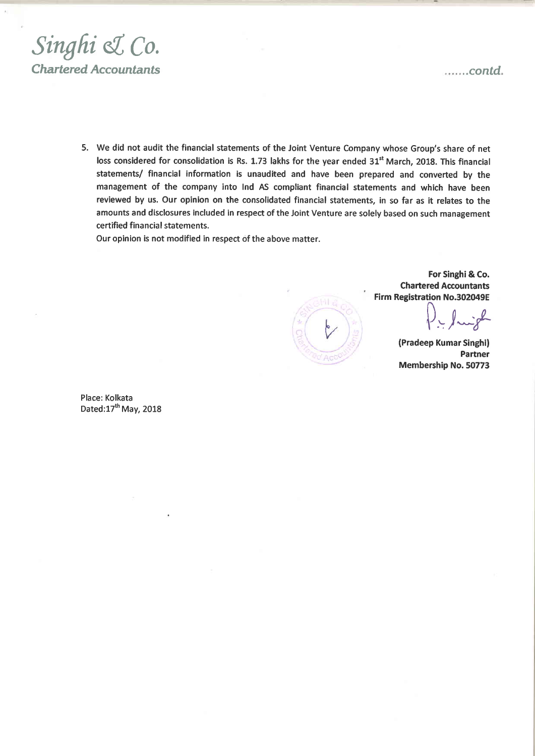

5. We did not audit the financial statements of the Joint Venture Company whose Group's share of net loss considered for consolidation is Rs. 1.73 lakhs for the year ended 31<sup>st</sup> March, 2018. This financial statements/ financial information is unaudited and have been prepared and converted by the management of the company into Ind AS comptiant financial statements and which have been reviewed by us. Our opinion on the consolidated financial statements, in so far as it relates to the amounts and disclosures included in respect of the Joint Venture are solely based on such management certified financial statements.

Our opinion is not modified in respect of the above matter.

For Singhi & Co. . Chartered Accountants Firm Registration No.302049E

 $\bigcap$  $\rho_{\text{r}}$  fingle

(Pradeep Kumar Singhi) Partner Membership No.50773

Place: Kolkata Dated:17<sup>th</sup> May, 2018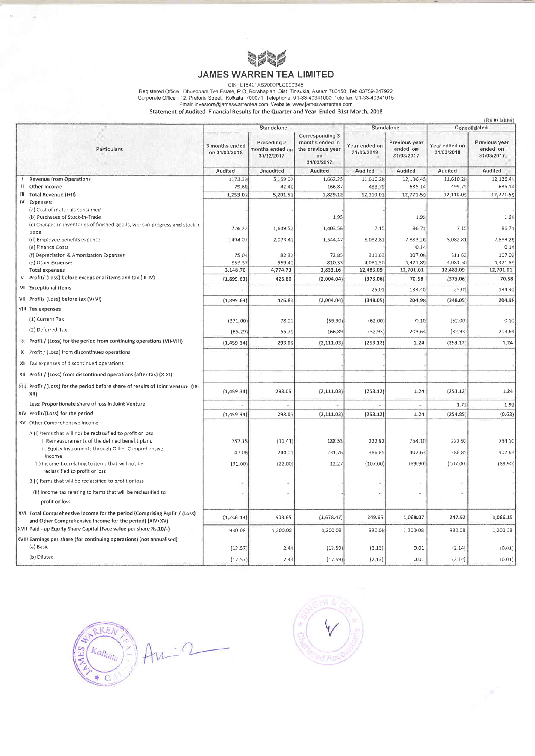

## **JAMES WARREN TEA LIMITED**

Registered Office : Dhoedaam Tea Estate, P.O. L15491AS2009PLC009345<br>
Corporate Office : Dhoedaam Tea Estate, P.O. Borcahapjan, Dist. Tinsukia, Assam 786150. Tel: 03759-247922<br>
Corporate Office : 12, Pretoria Street, Kolkat

|  |                                                                                                                                      |                                 |                                              |                                                                              |                             |                                         |                             | (Rs in lakhs)                           |
|--|--------------------------------------------------------------------------------------------------------------------------------------|---------------------------------|----------------------------------------------|------------------------------------------------------------------------------|-----------------------------|-----------------------------------------|-----------------------------|-----------------------------------------|
|  |                                                                                                                                      | Standalone                      |                                              |                                                                              | Standalone                  |                                         | Consolidated                |                                         |
|  | Particulars                                                                                                                          | 3 months ended<br>on 31/03/2018 | Preceding 3<br>months ended or<br>31/12/2017 | Corresponding 3<br>months ended in<br>the previous year<br>on.<br>31/03/2017 | Year ended on<br>31/03/2018 | Previous year<br>ended on<br>31/03/2017 | Year ended on<br>31/03/2018 | Previous year<br>ended on<br>31/03/2017 |
|  |                                                                                                                                      | Audited                         | Unaudited                                    | Audited                                                                      | Audited                     | Audited                                 | Audited                     | Audited                                 |
|  | <b>Revenue from Operations</b>                                                                                                       | 1173.39                         | 5 159 07                                     | 1,662.25                                                                     | 11,610.28                   | 12,136 45                               | 11,610 28                   | 12,136.45                               |
|  | Other Income                                                                                                                         | 79 68                           | 42.46                                        | 166 87                                                                       | 499.75                      | 635 14                                  | 499.75                      | 635.14                                  |
|  | Ill Total Revenue (I+II)                                                                                                             | 1,253.07                        | 5,201.53                                     | 1,829.12                                                                     | 12,110.03                   | 12,771.59                               | 12,110.03                   | 12,771.59                               |
|  | IV Expenses:                                                                                                                         |                                 |                                              |                                                                              |                             |                                         |                             |                                         |
|  | (a) Cost of materials consumed                                                                                                       |                                 |                                              |                                                                              |                             |                                         |                             |                                         |
|  | (b) Purchases of Stock-in-Trade                                                                                                      |                                 |                                              | 1,95                                                                         |                             | 1.95                                    |                             | 1.95                                    |
|  | (c) Changes in inventories of finished goods, work-in-progress and stock in<br>trade                                                 | 726.22                          | 1,649.52                                     | 1,403.56                                                                     | 7.15                        | 86 71                                   | 7 15                        | 86.71                                   |
|  | (d) Employee benefits expense                                                                                                        | 149402                          | 2,073.49                                     | 1,544.47                                                                     | 8,082 81                    | 7,883.26                                | 8,082 81                    | 7,883.26                                |
|  | (e) Finance Costs                                                                                                                    |                                 |                                              |                                                                              |                             | 0.14                                    |                             | 0.14                                    |
|  | (f) Depreciation & Amortisation Expenses                                                                                             | 75.04                           | 82.32                                        | 72.85                                                                        | 311.63                      | 307.06                                  | 31163                       | 307.06                                  |
|  | (g) Other Expenses                                                                                                                   | 85337                           | 969.40                                       | 810.33                                                                       | 4,081.50                    | 4,421.89                                | 4,081.50                    | 4,421.89                                |
|  | <b>Total expenses</b>                                                                                                                | 3,148.70                        | 4,774.73                                     | 3,833.16                                                                     | 12,483.09                   | 12,701.01                               | 12,483.09                   | 12,701.01                               |
|  | V Profit/ (Loss) before exceptional items and tax (III-IV)                                                                           | (1,895.63)                      | 426.80                                       | (2,004.04)                                                                   | (373.06)                    | 70.58                                   | (373.06)                    | 70.58                                   |
|  | VI Exceptional items                                                                                                                 |                                 |                                              |                                                                              | 25.01                       | 134.40                                  | 25.01                       | 134.40                                  |
|  | VII Profit/ (Loss) before tax (V+VI)                                                                                                 | (1,895.63)                      | 426.80                                       | (2,004.04)                                                                   | (348.05)                    | 204.98                                  | (348.05)                    | 204.98                                  |
|  | VIII Tax expenses                                                                                                                    |                                 |                                              |                                                                              |                             |                                         |                             |                                         |
|  | (1) Current Tax                                                                                                                      | (371.00)                        | 78.00                                        | (59, 90)                                                                     | (62,00)                     | 0.10                                    | (62,00)                     | 0.10                                    |
|  | (2) Deferred Tax                                                                                                                     | (65.29)                         | 55.75                                        | 166.89                                                                       | (32.93)                     | 203 64                                  | (32.93)                     | 203 64                                  |
|  | IX Profit / (Loss) for the period from continuing operations (VII-VIII)                                                              | (1,459.34)                      | 293.05                                       | (2, 111.03)                                                                  | (253.12)                    | 1,24                                    | (253.12)                    | 1.24                                    |
|  | X Profit / (Loss) from discontinued operations                                                                                       |                                 |                                              |                                                                              |                             |                                         |                             |                                         |
|  | XI Tax expenses of discontinued operations                                                                                           |                                 |                                              |                                                                              |                             |                                         |                             |                                         |
|  | XII Profit / (Loss) from discontinued operations (after tax) (X-XI)                                                                  |                                 |                                              |                                                                              |                             |                                         |                             |                                         |
|  | XIII Profit /(Loss) for the period before share of results of Joint Venture (IX-<br>XII)                                             | (1,459.34)                      | 293.05                                       | (2, 111.03)                                                                  | (253.12)                    | 1.24                                    | (253.12)                    | 1.24                                    |
|  | Less: Proportionate share of loss in Joint Venture                                                                                   |                                 |                                              |                                                                              |                             |                                         | 1.73                        | 1.92                                    |
|  | XIV Profit/(Loss) for the period                                                                                                     | (1,459.34)                      | 293.05                                       | (2, 111.03)                                                                  | (253.12)                    | 1,24                                    | (254.85)                    | (0.68)                                  |
|  | XV Other Comprehensive Income                                                                                                        |                                 |                                              |                                                                              |                             |                                         |                             |                                         |
|  | A (I) Items that will not be reclassified to profit or loss                                                                          |                                 |                                              |                                                                              |                             |                                         |                             |                                         |
|  | i. Remeasurements of the defined benefit plans                                                                                       | 257.15                          | (11.41)                                      | 188.53                                                                       | 222.92                      | 754.10                                  | 22292                       | 754.10                                  |
|  | ii. Equity Instruments through Other Comprehensive<br>Income                                                                         | 47.06                           | 244.01                                       | 231.76                                                                       | 386.85                      | 402.63                                  | 386.85                      | 402.63                                  |
|  | (ii) income tax relating to items that will not be<br>reclassified to profit or loss                                                 | (91.00)                         | (22.00)                                      | 12.27                                                                        | (107.00)                    | (89.90)                                 | (107.00)                    | (89.90)                                 |
|  | B (i) Items that will be reclassified to profit or loss                                                                              |                                 |                                              |                                                                              |                             |                                         |                             |                                         |
|  | (II) Income tax relating to items that will be reclassified to                                                                       |                                 |                                              |                                                                              |                             |                                         |                             |                                         |
|  | profit or loss                                                                                                                       |                                 |                                              |                                                                              |                             |                                         |                             |                                         |
|  | XVI Total Comprehensive Income for the period (Comprising Profit / (Loss)<br>and Other Comprehensive Income for the period) (XIV+XV) | (1, 246.13)                     | 503.65                                       | (1,678.47)                                                                   | 249.65                      | 1,068.07                                | 247.92                      | 1,066.15                                |
|  | XVII Paid - up Equity Share Capital (Face value per share Rs.10/-)                                                                   | 930.08                          | 1,200.08                                     | 1,200.08                                                                     | 930.08                      | 1,200.08                                | 930 08                      | 1,200 08                                |
|  | KVIII Earnings per share (for continuing operations) (not annualised)                                                                |                                 |                                              |                                                                              |                             |                                         |                             |                                         |
|  | (a) Basic                                                                                                                            | (12.57)                         | 2.44                                         | (17.59)                                                                      | (2.13)                      | 0.01                                    | (2, 14)                     | (0.01)                                  |
|  | (b) Diluted                                                                                                                          | (12.57)                         | 2.44                                         | (17.59)                                                                      | (2.13)                      | 0.01                                    | (2 i4)                      | (0.01)                                  |





 $\mathbb{R}^n$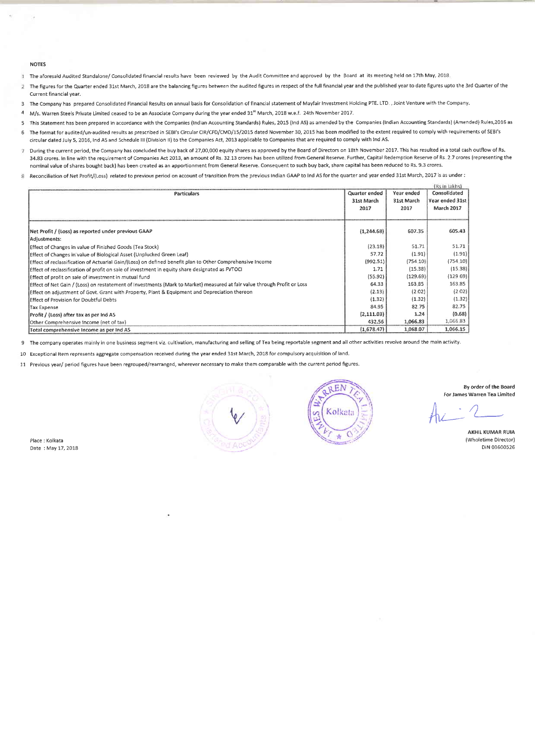#### NOTES

The aforesaid Audited Standalone/ Consolidated financial results have been reviewed by the Audit Committee and approved by the Board at its meeting held on 17th May,2018  $\mathbf{I}$ 

- The figures for the Quarter ended 31st March, 2018 are the balancing figures between the audited figures in respect of the full financial year and the published year to date figures upto the 3rd Quarter of the  $\overline{2}$ Current financial year.
- 3 The Company has prepared Consolidated Financial Results on annual basis for Consolidation of financial statement of Mayfair Investment Holding PTE. LTD., Joint Venture with the Company.
- 4 M/s. Warren Steels Private Limited ceased to be an Associate Company during the year ended 31° March, 2018 w.e.f. 24th Novemi
- 5 This Statement has been prepared in accordance with the Companies (Indian Accounting Standards) Rules, 2015 (Ind AS) as amended by the Companies (Indian Accounting Standards) (Amended) Rules, 2016 as 6 The format for audited/un-audited results as prescribed in SEBI's Circular CIR/CFD/CMD/15/2015 dated November 30, 2015 has been modified to the extent required to comply with requirements of SEBI's
- circular dated July 5, 2016, Ind AS and Schedule III (Division II) to the Companies Act, 2013 applicable to Companies that are required to comply with Ind AS.
- 7 During the current period, the Company has concluded the buy back of 27,00,000 equity shares as approved by the Board of Directors on 18th November 2017. This has resulted in a total cash outflow of Rs. 34.83 crores. In line with the requirement of Companies Act 2013, an amount of Rs. 32.13 crores has been utilized from General Reserve. Further, Capital Redemption Reserve of Rs. 2.7 crores (representing the nominal value of shares bought back) has been created as an apportionment from General Reserye. Consequent to such buy back, share capital has been reduced to Rs. 9.3 crores.
- 8 Reconciliation of Net Profit/(Loss) related to previous period on account of transition from the previous indian GAAP to Ind AS for the quarter and year ended 31st March, 2017 is as under :

| <b>Particulars</b>                                                                                                       | Quarter ended<br>31st March<br>2017 | Year ended<br>31st March<br>2017 | (Rs in lakhs)<br>Consolidated<br>Year ended 31st<br>March 2017 |
|--------------------------------------------------------------------------------------------------------------------------|-------------------------------------|----------------------------------|----------------------------------------------------------------|
| Net Profit / (Loss) as reported under previous GAAP<br>Adjustments:                                                      | (1, 244.68)                         | 607.35                           | 605.43                                                         |
| Effect of Changes in value of Finished Goods (Tea Stock)                                                                 | (23.18)                             | 51.71                            | 51.71                                                          |
| Effect of Changes in value of Biological Asset (Unplucked Green Leaf)                                                    | 57.72                               | (1.91)                           | (1.91)                                                         |
| Effect of reclassification of Actuarial Gain/(Loss) on defined benefit plan to Other Comprehensive Income                | (992.51)                            | (754.10)                         | (754.10)                                                       |
| Effect of reclassification of profit on sale of investment in equity share designated as FVTOCI                          | 1.71                                | (15.38)                          | (15.38)                                                        |
| Effect of profit on sale of investment in mutual fund                                                                    | (55.92)                             | (129.69)                         | (12969)                                                        |
| Effect of Net Gain / (Loss) on restatement of Investments (Mark to Market) measured at fair value through Profit or Loss | 64.33                               | 163.85                           | 163 85                                                         |
| Effect on adjustment of Govt. Grant with Property, Plant & Equipment and Depreciation thereon                            | (2.13)                              | (2.02)                           | (2.02)                                                         |
| Effect of Provision for Doubtful Debts                                                                                   | (1.32)                              | (1.32)                           | (1.32)                                                         |
| Tax Expense                                                                                                              | 84.95                               | 82 75                            | 82.75                                                          |
| Profit / (Loss) after tax as per Ind AS                                                                                  | (2,111.03)                          | 1.24                             | (0.68)                                                         |
| Other Comprehensive Income (net of tax)                                                                                  | 432.56                              | 1,066.83                         | 1,066 83                                                       |
| Total comprehensive Income as per Ind AS                                                                                 | (1,678.47)                          | 1.068.07                         | 1,066.15                                                       |

 $\overline{9}$ The company operates mainly in one business segment viz, cultivation, manufacturing and selling of Tea being reportable segment and all other activities revolve around the main activity.

10 Exceptional Item represents aggregate compensation received during the year ended 31st March, 2018 for compulsory acquisition of land.

11 Previous Vear/ period figures have been regrouped/rearranged, wherever necessary to make them comparable with the current period figures.

Place: Kolkata Date : May 17,2018





8y order of the Board For James Warren Tea Limited

 $Ar-2$ 

AKHIL KUMAR RUIA (Wholetime Director) DIN 03600526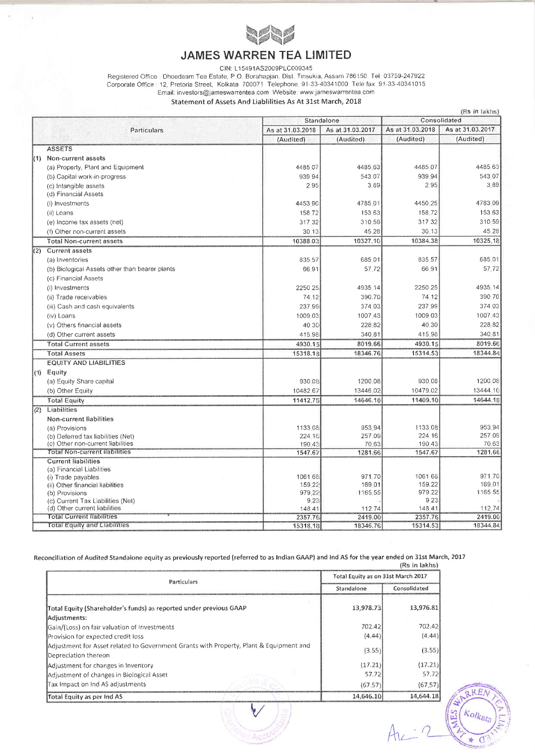

## **JAMES WARREN TEA LIMITED**

CIN: L15491AS2009PLC009345

CIN: LTD49TAS2009PLC009345<br>Registered Office : Dhoedaam Tea Estate, P.O. Borahapjan, Dist. Tinsukia, Assam 786150. Tel. 03759-247922<br>Corporate Office : 12, Pretoria Street, Kolkata 700071 Telephone. 91-33-40341000 Tele fax

### Statement of Assets And Liablilities As At 31st March, 2018

|     | (Rs in lakhs)                                   |                  |                  |                  |                  |  |
|-----|-------------------------------------------------|------------------|------------------|------------------|------------------|--|
|     |                                                 |                  | Standalone       | Consolidated     |                  |  |
|     | Particulars                                     | As at 31.03.2018 | As at 31.03.2017 | As at 31.03.2018 | As at 31.03.2017 |  |
|     |                                                 | (Audited)        | (Audited)        | (Audited)        | (Audited)        |  |
|     | <b>ASSETS</b>                                   |                  |                  |                  |                  |  |
|     | (1) Non-current assets                          |                  |                  |                  |                  |  |
|     | (a) Property, Plant and Equipment               | 4485.07          | 4485.63          | 4485 07          | 4485 63          |  |
|     | (b) Capital work-in-progress                    | 939 94           | 543.07           | 939.94           | 543.07           |  |
|     | (c) Intangible assets                           | 295              | 389              | 295              | 3.89             |  |
|     | (d) Financial Assets                            |                  |                  |                  |                  |  |
|     | (i) Investments                                 | 4453.90          | 4785.01          | 4450.25          | 478309           |  |
|     | (ii) Loans                                      | 158 72           | 153 63           | 158.72           | 153.63           |  |
|     | (e) Income tax assets (net)                     | 317.32           | 310 59           | 317.32           | 310.59           |  |
|     | (f) Other non-current assets                    | 30.13            | 45.28            | 30 13            | 45 28            |  |
|     | <b>Total Non-current assets</b>                 | 10388.03         | 10327.10         | 10384.38         | 10325.18         |  |
| (2) | <b>Current assets</b>                           |                  |                  |                  |                  |  |
|     | (a) Inventories                                 | 835.57           | 685.01           | 835.57           | 685.01           |  |
|     | (b) Biological Assets other than bearer plants  | 66.91            | 57.72            | 66.91            | 57.72            |  |
|     | (c) Financial Assets                            |                  |                  |                  |                  |  |
|     | (i) Investments                                 | 2250.25          | 4935.14          | 2250.25          | 4935.14          |  |
|     | (ii) Trade receivables                          | 74.12            | 390.70           | 74.12            | 390.70           |  |
|     |                                                 | 237.99           | 374.03           | 237.99           | 374.03           |  |
|     | (iii) Cash and cash equivalents                 |                  |                  |                  |                  |  |
|     | (iv) Loans                                      | 1009.03          | 1007.43          | 1009.03          | 1007 43          |  |
|     | (v) Others financial assets                     | 40 30            | 228.82           | 40.30            | 228 82           |  |
|     | (d) Other current assets                        | 415.98           | 340.81           | 415.98           | 340 81           |  |
|     | <b>Total Current assets</b>                     | 4930.15          | 8019.66          | 4930.15          | 8019.66          |  |
|     | <b>Total Assets</b>                             | 15318.18         | 18346.76         | 15314.53         | 18344.84         |  |
|     | <b>EQUITY AND LIABILITIES</b>                   |                  |                  |                  |                  |  |
|     | $(1)$ Equity                                    |                  |                  |                  |                  |  |
|     | (a) Equity Share capital                        | 930.08           | 1200.08          | 930.08           | 1200 08          |  |
|     | (b) Other Equity                                | 10482.67         | 13446.02         | 10479.02         | 13444.10         |  |
|     | <b>Total Equity</b>                             | 11412.75         | 14646.10         | 11409.10         | 14644.18         |  |
| (2) | Liabilities                                     |                  |                  |                  |                  |  |
|     | Non-current liabilities                         |                  |                  |                  |                  |  |
|     | (a) Provisions                                  | 1133.08          | 953.94           | 1133.08          | 953 94           |  |
|     | (b) Deferred tax liabilities (Net)              | 224.16           | 257.09           | 224 16           | 257 09           |  |
|     | (c) Other non-current liabilities               | 190.43           | 70.63            | 190.43           | 70.63            |  |
|     | <b>Total Non-current liabilities</b>            | 1547.67          | 1281.66          | 1547.67          | 1281.66          |  |
|     | <b>Current liabilities</b>                      |                  |                  |                  |                  |  |
|     | (a) Financial Liabilities<br>(i) Trade payables | 1061.68          | 971.70           | 1061.68          | 971.70           |  |
|     | (ii) Other financial liabilities                | 159.22           | 169.01           | 159.22           | 169.01           |  |
|     | (b) Provisions                                  | 979.22           | 1165.55          | 979 22           | 1165 55          |  |
|     | (c) Current Tax Liabilities (Net)               | 9.23             |                  | 923              |                  |  |
|     | (d) Other current liabilities                   | 148.41           | 112.74           | 148.41           | 112.74           |  |
|     | <b>Total Current liabilities</b>                | 2357.76          | 2419.00          | 2357.76          | 2419.00          |  |
|     | <b>Total Equity and Liabilities</b>             | 15318.18         | 18346.76         | 15314.53         | 18344.84         |  |

Reconciliation of Audited Standaione equity as previously reported (referred to as Indian GAAP) and ind AS for the year ended on 31st March, 2017

|                                                                                                                |                                    | (RS in lakhs) |  |
|----------------------------------------------------------------------------------------------------------------|------------------------------------|---------------|--|
| Particulars                                                                                                    | Total Equity as on 31st March 2017 |               |  |
|                                                                                                                | Standalone                         | Consolidated  |  |
| Total Equity (Shareholder's funds) as reported under previous GAAP                                             | 13,978.73                          | 13,976.81     |  |
| Adjustments:                                                                                                   |                                    |               |  |
| Gain/(Loss) on fair valuation of Investments                                                                   | 702.42                             | 702.42        |  |
| Provision for expected credit loss                                                                             | (4.44)                             | (4.44)        |  |
| Adjustment for Asset related to Government Grants with Property, Plant & Equipment and<br>Depreciation thereon | (3.55)                             | (3.55)        |  |
| Adjustment for changes in Inventory                                                                            | (17.21)                            | (17.21)       |  |
| Adjustment of changes in Biological Asset                                                                      | 57.72                              | 57.72         |  |
| Tax Impact on Ind AS adjustments                                                                               | (67.57)                            | (67.57)       |  |
| Total Equity as per Ind AS                                                                                     | 14,646.10                          | 14,644.18     |  |



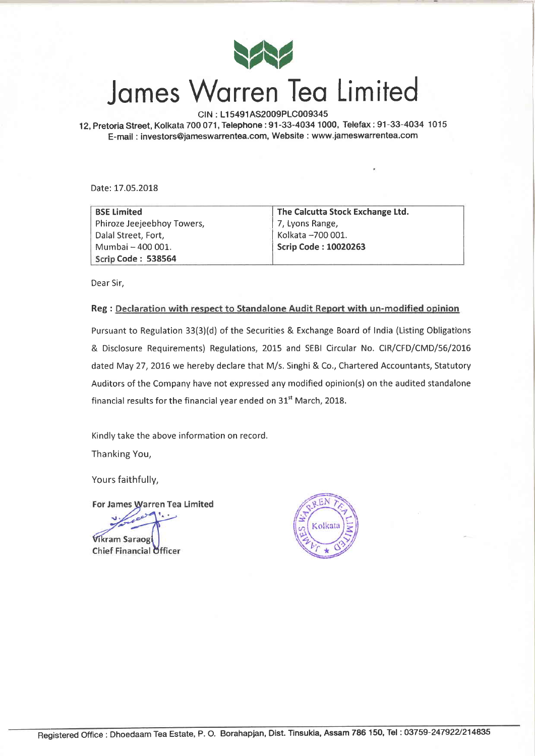

# James Warren Tea Limited

CIN : Ll 5491AS2009PLC009345

12, Pretoria Street, Kolkata 700 071, Telephone: 91-33-4034 1000, Telefax: 91-33-4034 1015 E-mail : investors@jameswarrentea.com, Website : www,jameswarrentea.com

Date: 17.05.2018

| <b>BSE Limited</b>         | The Calcutta Stock Exchange Ltd. |
|----------------------------|----------------------------------|
| Phiroze Jeejeebhoy Towers, | 7, Lyons Range,                  |
| Dalal Street, Fort,        | Kolkata -700 001.                |
| Mumbai - 400 001.          | <b>Scrip Code: 10020263</b>      |
| Scrip Code: 538564         |                                  |

Dear Sir,

### Reg : Declaration with respect to Standalone Audit Report with un-modified opinion

Pursuant to Regulation 33(3)(d) of the Securities & Exchange Board of India (Listing Obligations & Disclosure Requirements) Regulations, 2015 and SEBI Circular No. CIR/CFD/CMD/56/2016 dated May 27, 2016 we hereby declare that M/s. Singhi & Co., Chartered Accountants, Statutory Auditors of the Company have not expressed any modified opinion(s) on the audited standalone financial results for the financial year ended on  $31<sup>st</sup>$  March, 2018.

Kindly take the above information on record.

Thanking You,

Yours faithfully,

For James Warren Tea Limited

**Vikram Saraog Chief Financial Officer**